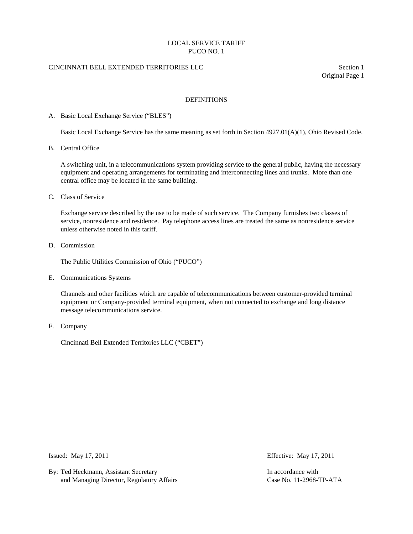# CINCINNATI BELL EXTENDED TERRITORIES LLC Section 1

Original Page 1

### DEFINITIONS

#### A. Basic Local Exchange Service ("BLES")

Basic Local Exchange Service has the same meaning as set forth in Section 4927.01(A)(1), Ohio Revised Code.

B. Central Office

A switching unit, in a telecommunications system providing service to the general public, having the necessary equipment and operating arrangements for terminating and interconnecting lines and trunks. More than one central office may be located in the same building.

C. Class of Service

Exchange service described by the use to be made of such service. The Company furnishes two classes of service, nonresidence and residence. Pay telephone access lines are treated the same as nonresidence service unless otherwise noted in this tariff.

D. Commission

The Public Utilities Commission of Ohio ("PUCO")

E. Communications Systems

Channels and other facilities which are capable of telecommunications between customer-provided terminal equipment or Company-provided terminal equipment, when not connected to exchange and long distance message telecommunications service.

F. Company

Cincinnati Bell Extended Territories LLC ("CBET")

By: Ted Heckmann, Assistant Secretary **In accordance with** In accordance with and Managing Director, Regulatory Affairs Case No. 11-2968-TP-ATA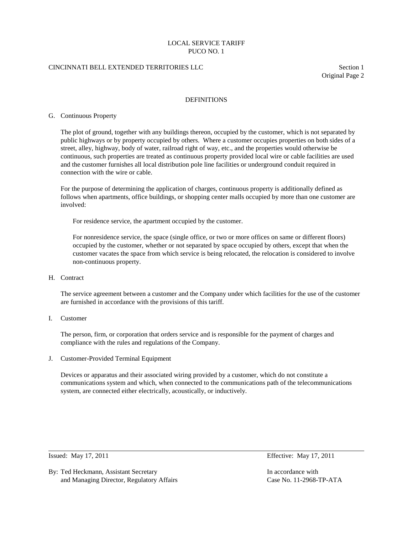# CINCINNATI BELL EXTENDED TERRITORIES LLC Section 1

Original Page 2

### DEFINITIONS

#### G. Continuous Property

The plot of ground, together with any buildings thereon, occupied by the customer, which is not separated by public highways or by property occupied by others. Where a customer occupies properties on both sides of a street, alley, highway, body of water, railroad right of way, etc., and the properties would otherwise be continuous, such properties are treated as continuous property provided local wire or cable facilities are used and the customer furnishes all local distribution pole line facilities or underground conduit required in connection with the wire or cable.

For the purpose of determining the application of charges, continuous property is additionally defined as follows when apartments, office buildings, or shopping center malls occupied by more than one customer are involved:

For residence service, the apartment occupied by the customer.

For nonresidence service, the space (single office, or two or more offices on same or different floors) occupied by the customer, whether or not separated by space occupied by others, except that when the customer vacates the space from which service is being relocated, the relocation is considered to involve non-continuous property.

#### H. Contract

The service agreement between a customer and the Company under which facilities for the use of the customer are furnished in accordance with the provisions of this tariff.

I. Customer

The person, firm, or corporation that orders service and is responsible for the payment of charges and compliance with the rules and regulations of the Company.

J. Customer-Provided Terminal Equipment

Devices or apparatus and their associated wiring provided by a customer, which do not constitute a communications system and which, when connected to the communications path of the telecommunications system, are connected either electrically, acoustically, or inductively.

Issued: May 17, 2011 Effective: May 17, 2011

By: Ted Heckmann, Assistant Secretary In accordance with In accordance with and Managing Director, Regulatory Affairs Case No. 11-2968-TP-ATA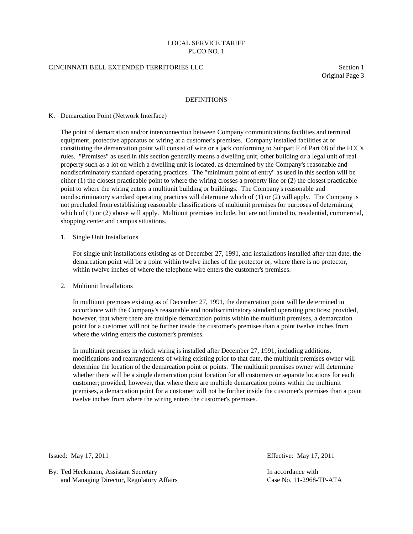#### CINCINNATI BELL EXTENDED TERRITORIES LLC Section 1

Original Page 3

#### DEFINITIONS

#### K. Demarcation Point (Network Interface)

The point of demarcation and/or interconnection between Company communications facilities and terminal equipment, protective apparatus or wiring at a customer's premises. Company installed facilities at or constituting the demarcation point will consist of wire or a jack conforming to Subpart F of Part 68 of the FCC's rules. "Premises" as used in this section generally means a dwelling unit, other building or a legal unit of real property such as a lot on which a dwelling unit is located, as determined by the Company's reasonable and nondiscriminatory standard operating practices. The "minimum point of entry" as used in this section will be either (1) the closest practicable point to where the wiring crosses a property line or (2) the closest practicable point to where the wiring enters a multiunit building or buildings. The Company's reasonable and nondiscriminatory standard operating practices will determine which of (1) or (2) will apply. The Company is not precluded from establishing reasonable classifications of multiunit premises for purposes of determining which of (1) or (2) above will apply. Multiunit premises include, but are not limited to, residential, commercial, shopping center and campus situations.

# 1. Single Unit Installations

For single unit installations existing as of December 27, 1991, and installations installed after that date, the demarcation point will be a point within twelve inches of the protector or, where there is no protector, within twelve inches of where the telephone wire enters the customer's premises.

#### 2. Multiunit Installations

 In multiunit premises existing as of December 27, 1991, the demarcation point will be determined in accordance with the Company's reasonable and nondiscriminatory standard operating practices; provided, however, that where there are multiple demarcation points within the multiunit premises, a demarcation point for a customer will not be further inside the customer's premises than a point twelve inches from where the wiring enters the customer's premises.

 In multiunit premises in which wiring is installed after December 27, 1991, including additions, modifications and rearrangements of wiring existing prior to that date, the multiunit premises owner will determine the location of the demarcation point or points. The multiunit premises owner will determine whether there will be a single demarcation point location for all customers or separate locations for each customer; provided, however, that where there are multiple demarcation points within the multiunit premises, a demarcation point for a customer will not be further inside the customer's premises than a point twelve inches from where the wiring enters the customer's premises.

Issued: May 17, 2011 Effective: May 17, 2011

By: Ted Heckmann, Assistant Secretary **In accordance with** In accordance with and Managing Director, Regulatory Affairs Case No. 11-2968-TP-ATA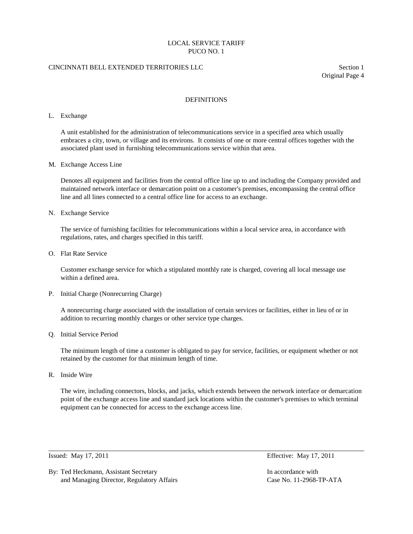# CINCINNATI BELL EXTENDED TERRITORIES LLC Section 1

Original Page 4

# DEFINITIONS

#### L. Exchange

A unit established for the administration of telecommunications service in a specified area which usually embraces a city, town, or village and its environs. It consists of one or more central offices together with the associated plant used in furnishing telecommunications service within that area.

#### M. Exchange Access Line

Denotes all equipment and facilities from the central office line up to and including the Company provided and maintained network interface or demarcation point on a customer's premises, encompassing the central office line and all lines connected to a central office line for access to an exchange.

#### N. Exchange Service

The service of furnishing facilities for telecommunications within a local service area, in accordance with regulations, rates, and charges specified in this tariff.

O. Flat Rate Service

Customer exchange service for which a stipulated monthly rate is charged, covering all local message use within a defined area.

P. Initial Charge (Nonrecurring Charge)

A nonrecurring charge associated with the installation of certain services or facilities, either in lieu of or in addition to recurring monthly charges or other service type charges.

Q. Initial Service Period

The minimum length of time a customer is obligated to pay for service, facilities, or equipment whether or not retained by the customer for that minimum length of time.

R. Inside Wire

The wire, including connectors, blocks, and jacks, which extends between the network interface or demarcation point of the exchange access line and standard jack locations within the customer's premises to which terminal equipment can be connected for access to the exchange access line.

By: Ted Heckmann, Assistant Secretary In accordance with In accordance with and Managing Director, Regulatory Affairs Case No. 11-2968-TP-ATA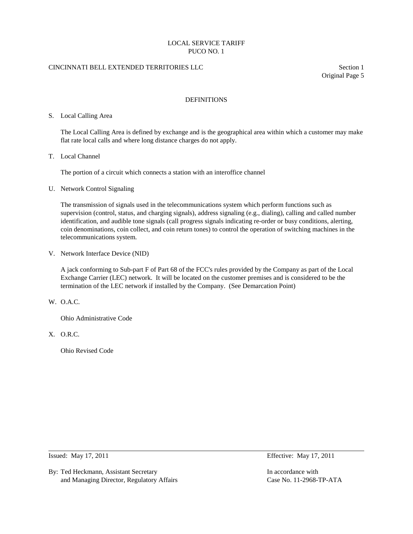# CINCINNATI BELL EXTENDED TERRITORIES LLC Section 1

Original Page 5

# DEFINITIONS

#### S. Local Calling Area

The Local Calling Area is defined by exchange and is the geographical area within which a customer may make flat rate local calls and where long distance charges do not apply.

T. Local Channel

The portion of a circuit which connects a station with an interoffice channel

U. Network Control Signaling

The transmission of signals used in the telecommunications system which perform functions such as supervision (control, status, and charging signals), address signaling (e.g., dialing), calling and called number identification, and audible tone signals (call progress signals indicating re-order or busy conditions, alerting, coin denominations, coin collect, and coin return tones) to control the operation of switching machines in the telecommunications system.

V. Network Interface Device (NID)

A jack conforming to Sub-part F of Part 68 of the FCC's rules provided by the Company as part of the Local Exchange Carrier (LEC) network. It will be located on the customer premises and is considered to be the termination of the LEC network if installed by the Company. (See Demarcation Point)

W. O.A.C.

Ohio Administrative Code

X. O.R.C.

Ohio Revised Code

By: Ted Heckmann, Assistant Secretary **In accordance with** In accordance with and Managing Director, Regulatory Affairs Case No. 11-2968-TP-ATA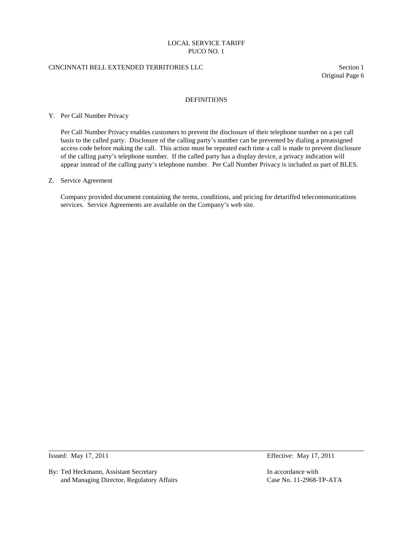# CINCINNATI BELL EXTENDED TERRITORIES LLC Section 1

Original Page 6

### DEFINITIONS

#### Y. Per Call Number Privacy

Per Call Number Privacy enables customers to prevent the disclosure of their telephone number on a per call basis to the called party. Disclosure of the calling party's number can be prevented by dialing a preassigned access code before making the call. This action must be repeated each time a call is made to prevent disclosure of the calling party's telephone number. If the called party has a display device, a privacy indication will appear instead of the calling party's telephone number. Per Call Number Privacy is included as part of BLES.

#### Z. Service Agreement

Company provided document containing the terms, conditions, and pricing for detariffed telecommunications services. Service Agreements are available on the Company's web site.

By: Ted Heckmann, Assistant Secretary **In accordance with** In accordance with and Managing Director, Regulatory Affairs Case No. 11-2968-TP-ATA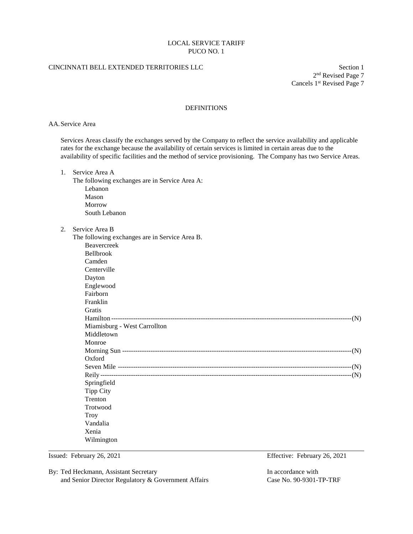# CINCINNATI BELL EXTENDED TERRITORIES LLC Section 1

2nd Revised Page 7 Cancels 1st Revised Page 7

# DEFINITIONS

AA.Service Area

Services Areas classify the exchanges served by the Company to reflect the service availability and applicable rates for the exchange because the availability of certain services is limited in certain areas due to the availability of specific facilities and the method of service provisioning. The Company has two Service Areas.

| 1. | Service Area A<br>The following exchanges are in Service Area A:<br>Lebanon<br>Mason<br>Morrow<br>South Lebanon |  |
|----|-----------------------------------------------------------------------------------------------------------------|--|
| 2. | Service Area B                                                                                                  |  |
|    | The following exchanges are in Service Area B.                                                                  |  |
|    | Beavercreek                                                                                                     |  |
|    | Bellbrook                                                                                                       |  |
|    | Camden                                                                                                          |  |
|    | Centerville                                                                                                     |  |
|    | Dayton                                                                                                          |  |
|    | Englewood                                                                                                       |  |
|    | Fairborn                                                                                                        |  |
|    | Franklin                                                                                                        |  |
|    | Gratis                                                                                                          |  |
|    |                                                                                                                 |  |
|    | Miamisburg - West Carrollton                                                                                    |  |
|    | Middletown                                                                                                      |  |
|    | Monroe                                                                                                          |  |
|    |                                                                                                                 |  |
|    | Oxford                                                                                                          |  |
|    |                                                                                                                 |  |
|    |                                                                                                                 |  |
|    | Springfield                                                                                                     |  |
|    | <b>Tipp City</b>                                                                                                |  |
|    | Trenton                                                                                                         |  |
|    | Trotwood                                                                                                        |  |
|    | Troy                                                                                                            |  |
|    | Vandalia                                                                                                        |  |
|    | Xenia                                                                                                           |  |
|    | Wilmington                                                                                                      |  |

Issued: February 26, 2021 Effective: February 26, 2021

By: Ted Heckmann, Assistant Secretary **In accordance with** In accordance with and Senior Director Regulatory & Government Affairs Case No. 90-9301-TP-TRF